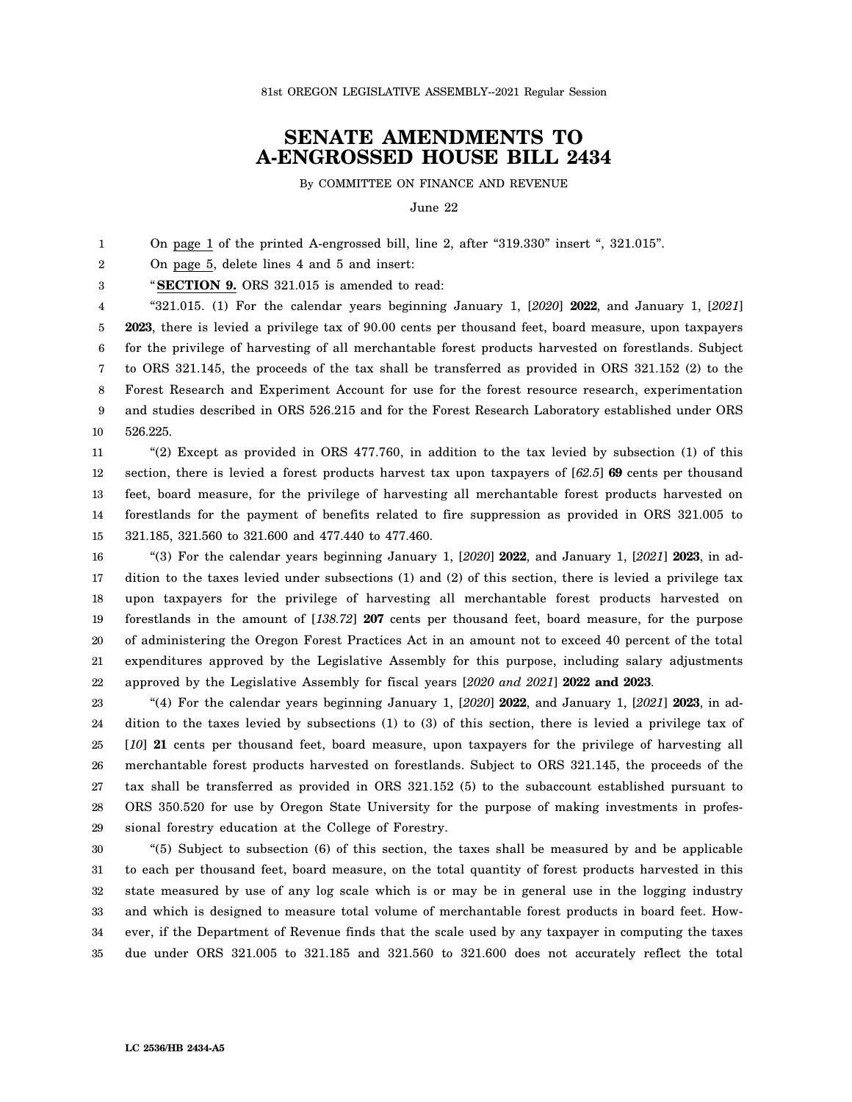## **SENATE AMENDMENTS TO A-ENGROSSED HOUSE BILL 2434**

By COMMITTEE ON FINANCE AND REVENUE

June 22

1 On page 1 of the printed A-engrossed bill, line 2, after "319.330" insert ", 321.015".

2 On page 5, delete lines 4 and 5 and insert:

3 "**SECTION 9.** ORS 321.015 is amended to read:

4 5 6 7 8 9 10 "321.015. (1) For the calendar years beginning January 1, [*2020*] **2022**, and January 1, [*2021*] **2023**, there is levied a privilege tax of 90.00 cents per thousand feet, board measure, upon taxpayers for the privilege of harvesting of all merchantable forest products harvested on forestlands. Subject to ORS 321.145, the proceeds of the tax shall be transferred as provided in ORS 321.152 (2) to the Forest Research and Experiment Account for use for the forest resource research, experimentation and studies described in ORS 526.215 and for the Forest Research Laboratory established under ORS 526.225.

11 12 13 14 15 "(2) Except as provided in ORS 477.760, in addition to the tax levied by subsection (1) of this section, there is levied a forest products harvest tax upon taxpayers of [*62.5*] **69** cents per thousand feet, board measure, for the privilege of harvesting all merchantable forest products harvested on forestlands for the payment of benefits related to fire suppression as provided in ORS 321.005 to 321.185, 321.560 to 321.600 and 477.440 to 477.460.

16 17 18 19 20 21 22 "(3) For the calendar years beginning January 1, [*2020*] **2022**, and January 1, [*2021*] **2023**, in addition to the taxes levied under subsections (1) and (2) of this section, there is levied a privilege tax upon taxpayers for the privilege of harvesting all merchantable forest products harvested on forestlands in the amount of [*138.72*] **207** cents per thousand feet, board measure, for the purpose of administering the Oregon Forest Practices Act in an amount not to exceed 40 percent of the total expenditures approved by the Legislative Assembly for this purpose, including salary adjustments approved by the Legislative Assembly for fiscal years [*2020 and 2021*] **2022 and 2023**.

23 24 25 26 27 28 29 "(4) For the calendar years beginning January 1, [*2020*] **2022**, and January 1, [*2021*] **2023**, in addition to the taxes levied by subsections (1) to (3) of this section, there is levied a privilege tax of [*10*] **21** cents per thousand feet, board measure, upon taxpayers for the privilege of harvesting all merchantable forest products harvested on forestlands. Subject to ORS 321.145, the proceeds of the tax shall be transferred as provided in ORS 321.152 (5) to the subaccount established pursuant to ORS 350.520 for use by Oregon State University for the purpose of making investments in professional forestry education at the College of Forestry.

30 31 32 33 34 35 "(5) Subject to subsection (6) of this section, the taxes shall be measured by and be applicable to each per thousand feet, board measure, on the total quantity of forest products harvested in this state measured by use of any log scale which is or may be in general use in the logging industry and which is designed to measure total volume of merchantable forest products in board feet. However, if the Department of Revenue finds that the scale used by any taxpayer in computing the taxes due under ORS 321.005 to 321.185 and 321.560 to 321.600 does not accurately reflect the total